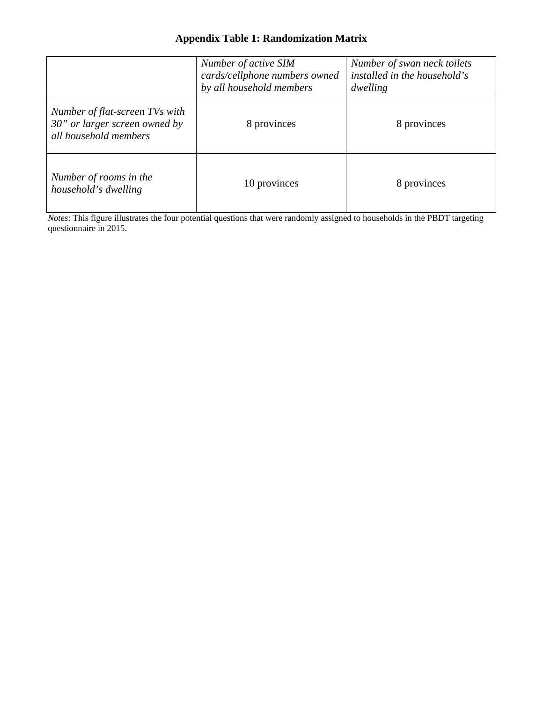## **Appendix Table 1: Randomization Matrix**

|                                                                                                                                                                                      | Number of active SIM<br>cards/cellphone numbers owned<br>by all household members | Number of swan neck toilets<br>installed in the household's<br>dwelling |
|--------------------------------------------------------------------------------------------------------------------------------------------------------------------------------------|-----------------------------------------------------------------------------------|-------------------------------------------------------------------------|
| Number of flat-screen TVs with<br>30" or larger screen owned by<br>all household members                                                                                             | 8 provinces                                                                       | 8 provinces                                                             |
| Number of rooms in the<br>household's dwelling<br><i>Notes:</i> This figure illustrates the four potential questions that were randomly assigned to households in the PBDT targeting | 10 provinces                                                                      | 8 provinces                                                             |

*Notes*: This figure illustrates the four potential questions that were randomly assigned to households in the PBDT targeting questionnaire in 2015.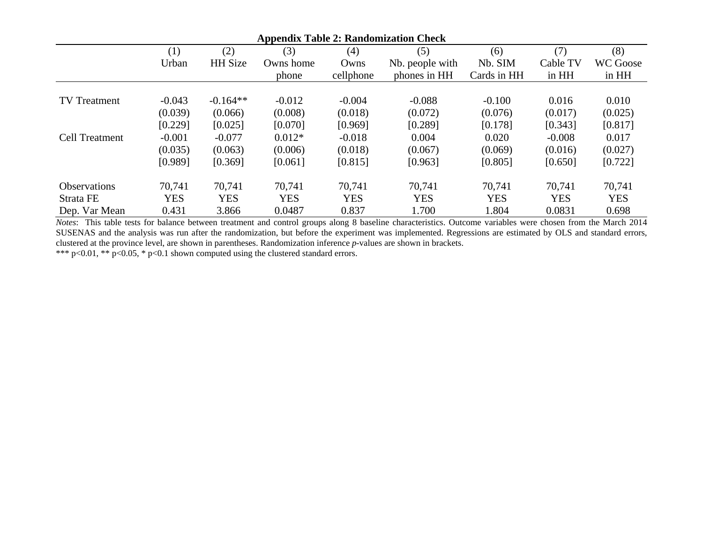| <b>Appendix Table 2: Randomization Check</b> |            |                |            |            |                 |             |            |                 |
|----------------------------------------------|------------|----------------|------------|------------|-----------------|-------------|------------|-----------------|
|                                              | (1)        | (2)            | (3)        | (4)        | (5)             | (6)         | (7)        | (8)             |
|                                              | Urban      | <b>HH</b> Size | Owns home  | Owns       | Nb. people with | Nb. SIM     | Cable TV   | <b>WC Goose</b> |
|                                              |            |                | phone      | cellphone  | phones in HH    | Cards in HH | in HH      | in HH           |
| <b>TV</b> Treatment                          | $-0.043$   | $-0.164**$     | $-0.012$   | $-0.004$   | $-0.088$        | $-0.100$    | 0.016      | 0.010           |
|                                              | (0.039)    | (0.066)        | (0.008)    | (0.018)    | (0.072)         | (0.076)     | (0.017)    | (0.025)         |
|                                              | [0.229]    | [0.025]        | [0.070]    | [0.969]    | [0.289]         | [0.178]     | [0.343]    | [0.817]         |
| <b>Cell Treatment</b>                        | $-0.001$   | $-0.077$       | $0.012*$   | $-0.018$   | 0.004           | 0.020       | $-0.008$   | 0.017           |
|                                              | (0.035)    | (0.063)        | (0.006)    | (0.018)    | (0.067)         | (0.069)     | (0.016)    | (0.027)         |
|                                              | [0.989]    | [0.369]        | [0.061]    | [0.815]    | [0.963]         | [0.805]     | [0.650]    | [0.722]         |
| <b>Observations</b>                          | 70,741     | 70,741         | 70,741     | 70,741     | 70,741          | 70,741      | 70,741     | 70,741          |
| Strata FE                                    | <b>YES</b> | <b>YES</b>     | <b>YES</b> | <b>YES</b> | <b>YES</b>      | <b>YES</b>  | <b>YES</b> | <b>YES</b>      |
| Dep. Var Mean                                | 0.431      | 3.866          | 0.0487     | 0.837      | 1.700           | 1.804       | 0.0831     | 0.698           |

*Notes*: This table tests for balance between treatment and control groups along 8 baseline characteristics. Outcome variables were chosen from the March 2014 SUSENAS and the analysis was run after the randomization, but before the experiment was implemented. Regressions are estimated by OLS and standard errors, clustered at the province level, are shown in parentheses. Randomization inference *p*-values are shown in brackets.

\*\*\* p<0.01, \*\* p<0.05, \* p<0.1 shown computed using the clustered standard errors.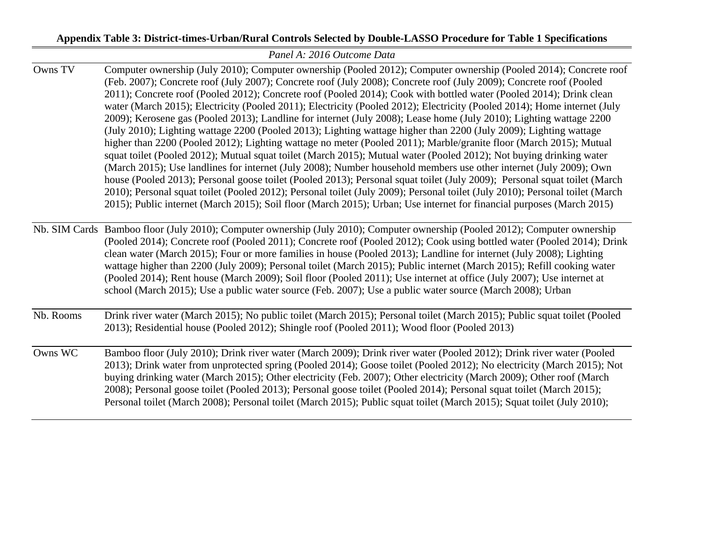# **Appendix Table 3: District-times-Urban/Rural Controls Selected by Double-LASSO Procedure for Table 1 Specifications**

|           | Panel A: 2016 Outcome Data                                                                                                                                                                                                                                                                                                                                                                                                                                                                                                                                                                                                                                                                                                                                                                                                                                                                                                                                                                                                                                                                                                                                                                                                                                                                                                                                                                                                                                                                       |
|-----------|--------------------------------------------------------------------------------------------------------------------------------------------------------------------------------------------------------------------------------------------------------------------------------------------------------------------------------------------------------------------------------------------------------------------------------------------------------------------------------------------------------------------------------------------------------------------------------------------------------------------------------------------------------------------------------------------------------------------------------------------------------------------------------------------------------------------------------------------------------------------------------------------------------------------------------------------------------------------------------------------------------------------------------------------------------------------------------------------------------------------------------------------------------------------------------------------------------------------------------------------------------------------------------------------------------------------------------------------------------------------------------------------------------------------------------------------------------------------------------------------------|
| Owns TV   | Computer ownership (July 2010); Computer ownership (Pooled 2012); Computer ownership (Pooled 2014); Concrete roof<br>(Feb. 2007); Concrete roof (July 2007); Concrete roof (July 2008); Concrete roof (July 2009); Concrete roof (Pooled<br>2011); Concrete roof (Pooled 2012); Concrete roof (Pooled 2014); Cook with bottled water (Pooled 2014); Drink clean<br>water (March 2015); Electricity (Pooled 2011); Electricity (Pooled 2012); Electricity (Pooled 2014); Home internet (July<br>2009); Kerosene gas (Pooled 2013); Landline for internet (July 2008); Lease home (July 2010); Lighting wattage 2200<br>(July 2010); Lighting wattage 2200 (Pooled 2013); Lighting wattage higher than 2200 (July 2009); Lighting wattage<br>higher than 2200 (Pooled 2012); Lighting wattage no meter (Pooled 2011); Marble/granite floor (March 2015); Mutual<br>squat toilet (Pooled 2012); Mutual squat toilet (March 2015); Mutual water (Pooled 2012); Not buying drinking water<br>(March 2015); Use landlines for internet (July 2008); Number household members use other internet (July 2009); Own<br>house (Pooled 2013); Personal goose toilet (Pooled 2013); Personal squat toilet (July 2009); Personal squat toilet (March<br>2010); Personal squat toilet (Pooled 2012); Personal toilet (July 2009); Personal toilet (July 2010); Personal toilet (March<br>2015); Public internet (March 2015); Soil floor (March 2015); Urban; Use internet for financial purposes (March 2015) |
|           | Nb. SIM Cards Bamboo floor (July 2010); Computer ownership (July 2010); Computer ownership (Pooled 2012); Computer ownership<br>(Pooled 2014); Concrete roof (Pooled 2011); Concrete roof (Pooled 2012); Cook using bottled water (Pooled 2014); Drink<br>clean water (March 2015); Four or more families in house (Pooled 2013); Landline for internet (July 2008); Lighting<br>wattage higher than 2200 (July 2009); Personal toilet (March 2015); Public internet (March 2015); Refill cooking water<br>(Pooled 2014); Rent house (March 2009); Soil floor (Pooled 2011); Use internet at office (July 2007); Use internet at<br>school (March 2015); Use a public water source (Feb. 2007); Use a public water source (March 2008); Urban                                                                                                                                                                                                                                                                                                                                                                                                                                                                                                                                                                                                                                                                                                                                                    |
| Nb. Rooms | Drink river water (March 2015); No public toilet (March 2015); Personal toilet (March 2015); Public squat toilet (Pooled<br>2013); Residential house (Pooled 2012); Shingle roof (Pooled 2011); Wood floor (Pooled 2013)                                                                                                                                                                                                                                                                                                                                                                                                                                                                                                                                                                                                                                                                                                                                                                                                                                                                                                                                                                                                                                                                                                                                                                                                                                                                         |
| Owns WC   | Bamboo floor (July 2010); Drink river water (March 2009); Drink river water (Pooled 2012); Drink river water (Pooled<br>2013); Drink water from unprotected spring (Pooled 2014); Goose toilet (Pooled 2012); No electricity (March 2015); Not<br>buying drinking water (March 2015); Other electricity (Feb. 2007); Other electricity (March 2009); Other roof (March<br>2008); Personal goose toilet (Pooled 2013); Personal goose toilet (Pooled 2014); Personal squat toilet (March 2015);<br>Personal toilet (March 2008); Personal toilet (March 2015); Public squat toilet (March 2015); Squat toilet (July 2010);                                                                                                                                                                                                                                                                                                                                                                                                                                                                                                                                                                                                                                                                                                                                                                                                                                                                        |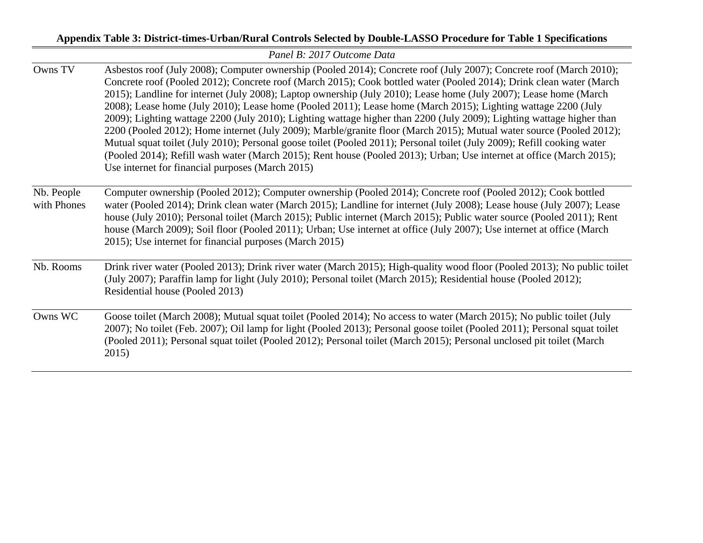## **Appendix Table 3: District-times-Urban/Rural Controls Selected by Double-LASSO Procedure for Table 1 Specifications**

|                           | Panel B: 2017 Outcome Data                                                                                                                                                                                                                                                                                                                                                                                                                                                                                                                                                                                                                                                                                                                                                                                                                                                                                                                                                                                                               |
|---------------------------|------------------------------------------------------------------------------------------------------------------------------------------------------------------------------------------------------------------------------------------------------------------------------------------------------------------------------------------------------------------------------------------------------------------------------------------------------------------------------------------------------------------------------------------------------------------------------------------------------------------------------------------------------------------------------------------------------------------------------------------------------------------------------------------------------------------------------------------------------------------------------------------------------------------------------------------------------------------------------------------------------------------------------------------|
| Owns TV                   | Asbestos roof (July 2008); Computer ownership (Pooled 2014); Concrete roof (July 2007); Concrete roof (March 2010);<br>Concrete roof (Pooled 2012); Concrete roof (March 2015); Cook bottled water (Pooled 2014); Drink clean water (March<br>2015); Landline for internet (July 2008); Laptop ownership (July 2010); Lease home (July 2007); Lease home (March<br>2008); Lease home (July 2010); Lease home (Pooled 2011); Lease home (March 2015); Lighting wattage 2200 (July<br>2009); Lighting wattage 2200 (July 2010); Lighting wattage higher than 2200 (July 2009); Lighting wattage higher than<br>2200 (Pooled 2012); Home internet (July 2009); Marble/granite floor (March 2015); Mutual water source (Pooled 2012);<br>Mutual squat toilet (July 2010); Personal goose toilet (Pooled 2011); Personal toilet (July 2009); Refill cooking water<br>(Pooled 2014); Refill wash water (March 2015); Rent house (Pooled 2013); Urban; Use internet at office (March 2015);<br>Use internet for financial purposes (March 2015) |
| Nb. People<br>with Phones | Computer ownership (Pooled 2012); Computer ownership (Pooled 2014); Concrete roof (Pooled 2012); Cook bottled<br>water (Pooled 2014); Drink clean water (March 2015); Landline for internet (July 2008); Lease house (July 2007); Lease<br>house (July 2010); Personal toilet (March 2015); Public internet (March 2015); Public water source (Pooled 2011); Rent<br>house (March 2009); Soil floor (Pooled 2011); Urban; Use internet at office (July 2007); Use internet at office (March<br>2015); Use internet for financial purposes (March 2015)                                                                                                                                                                                                                                                                                                                                                                                                                                                                                   |
| Nb. Rooms                 | Drink river water (Pooled 2013); Drink river water (March 2015); High-quality wood floor (Pooled 2013); No public toilet<br>(July 2007); Paraffin lamp for light (July 2010); Personal toilet (March 2015); Residential house (Pooled 2012);<br>Residential house (Pooled 2013)                                                                                                                                                                                                                                                                                                                                                                                                                                                                                                                                                                                                                                                                                                                                                          |
| Owns WC                   | Goose toilet (March 2008); Mutual squat toilet (Pooled 2014); No access to water (March 2015); No public toilet (July<br>2007); No toilet (Feb. 2007); Oil lamp for light (Pooled 2013); Personal goose toilet (Pooled 2011); Personal squat toilet<br>(Pooled 2011); Personal squat toilet (Pooled 2012); Personal toilet (March 2015); Personal unclosed pit toilet (March<br>2015)                                                                                                                                                                                                                                                                                                                                                                                                                                                                                                                                                                                                                                                    |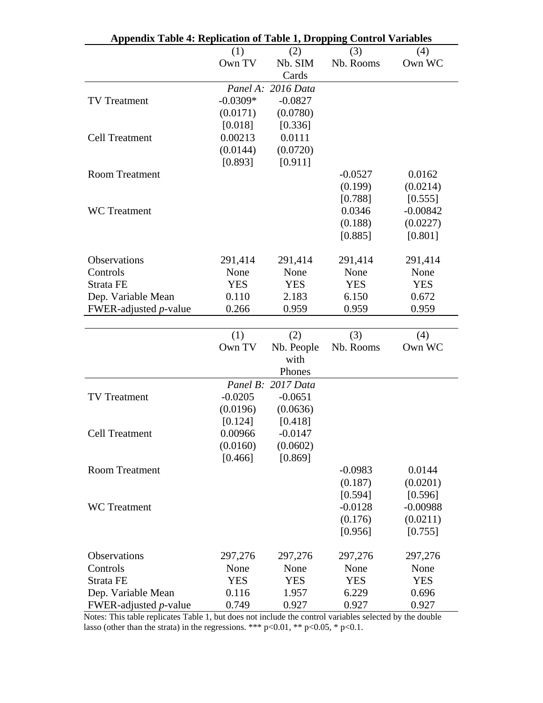| <b>Appendix Table 4: Replication of Table 1, Dropping Control Variables</b> |            |                    |            |            |
|-----------------------------------------------------------------------------|------------|--------------------|------------|------------|
|                                                                             | (1)        | (2)                | (3)        | (4)        |
|                                                                             | Own TV     | Nb. SIM            | Nb. Rooms  | Own WC     |
|                                                                             |            | Cards              |            |            |
|                                                                             |            | Panel A: 2016 Data |            |            |
| <b>TV</b> Treatment                                                         | $-0.0309*$ | $-0.0827$          |            |            |
|                                                                             | (0.0171)   | (0.0780)           |            |            |
|                                                                             | [0.018]    | [0.336]            |            |            |
| <b>Cell Treatment</b>                                                       | 0.00213    | 0.0111             |            |            |
|                                                                             | (0.0144)   | (0.0720)           |            |            |
|                                                                             | [0.893]    | [0.911]            |            |            |
| <b>Room Treatment</b>                                                       |            |                    | $-0.0527$  | 0.0162     |
|                                                                             |            |                    | (0.199)    | (0.0214)   |
|                                                                             |            |                    | [0.788]    | [0.555]    |
| <b>WC</b> Treatment                                                         |            |                    | 0.0346     | $-0.00842$ |
|                                                                             |            |                    | (0.188)    | (0.0227)   |
|                                                                             |            |                    | [0.885]    | [0.801]    |
|                                                                             |            |                    |            |            |
| Observations                                                                | 291,414    | 291,414            | 291,414    | 291,414    |
| Controls                                                                    | None       | None               | None       | None       |
| Strata FE                                                                   | <b>YES</b> | <b>YES</b>         | <b>YES</b> | <b>YES</b> |
| Dep. Variable Mean                                                          | 0.110      | 2.183              | 6.150      | 0.672      |
| FWER-adjusted $p$ -value                                                    | 0.266      | 0.959              | 0.959      | 0.959      |
|                                                                             |            |                    |            |            |
|                                                                             | (1)        | (2)                | (3)        | (4)        |
|                                                                             | Own TV     | Nb. People         | Nb. Rooms  | Own WC     |
|                                                                             |            | with               |            |            |
|                                                                             |            | Phones             |            |            |
|                                                                             |            | Panel B: 2017 Data |            |            |
| <b>TV</b> Treatment                                                         | $-0.0205$  | $-0.0651$          |            |            |
|                                                                             | (0.0196)   | (0.0636)           |            |            |
|                                                                             | [0.124]    | [0.418]            |            |            |
| <b>Cell Treatment</b>                                                       | 0.00966    | $-0.0147$          |            |            |
|                                                                             | (0.0160)   | (0.0602)           |            |            |
|                                                                             | [0.466]    | [0.869]            |            |            |
| <b>Room Treatment</b>                                                       |            |                    | $-0.0983$  | 0.0144     |
|                                                                             |            |                    | (0.187)    | (0.0201)   |
|                                                                             |            |                    | [0.594]    | [0.596]    |
| <b>WC</b> Treatment                                                         |            |                    | $-0.0128$  | $-0.00988$ |
|                                                                             |            |                    | (0.176)    | (0.0211)   |
|                                                                             |            |                    | [0.956]    | [0.755]    |
| Observations                                                                | 297,276    | 297,276            | 297,276    | 297,276    |
| Controls                                                                    | None       | None               | None       | None       |
| Strata FE                                                                   | <b>YES</b> | <b>YES</b>         | <b>YES</b> | <b>YES</b> |
| Dep. Variable Mean                                                          | 0.116      | 1.957              | 6.229      | 0.696      |
| FWER-adjusted <i>p</i> -value                                               | 0.749      | 0.927              | 0.927      | 0.927      |

Notes: This table replicates Table 1, but does not include the control variables selected by the double lasso (other than the strata) in the regressions. \*\*\*  $p<0.01$ , \*\*  $p<0.05$ , \*  $p<0.1$ .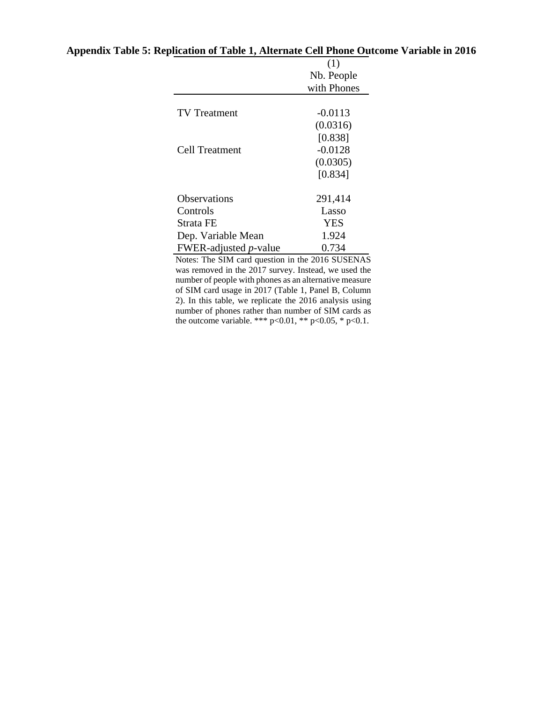|                               | (1)         |
|-------------------------------|-------------|
|                               | Nb. People  |
|                               | with Phones |
|                               |             |
| <b>TV</b> Treatment           | $-0.0113$   |
|                               | (0.0316)    |
|                               | [0.838]     |
| Cell Treatment                | $-0.0128$   |
|                               | (0.0305)    |
|                               | [0.834]     |
|                               |             |
| Observations                  | 291,414     |
| Controls                      | Lasso       |
| Strata FE                     | <b>YES</b>  |
| Dep. Variable Mean            | 1.924       |
| FWER-adjusted <i>p</i> -value | 0.734       |

### **Appendix Table 5: Replication of Table 1, Alternate Cell Phone Outcome Variable in 2016**

Notes: The SIM card question in the 2016 SUSENAS was removed in the 2017 survey. Instead, we used the number of people with phones as an alternative measure of SIM card usage in 2017 (Table 1, Panel B, Column 2). In this table, we replicate the 2016 analysis using number of phones rather than number of SIM cards as the outcome variable. \*\*\* p<0.01, \*\* p<0.05, \* p<0.1.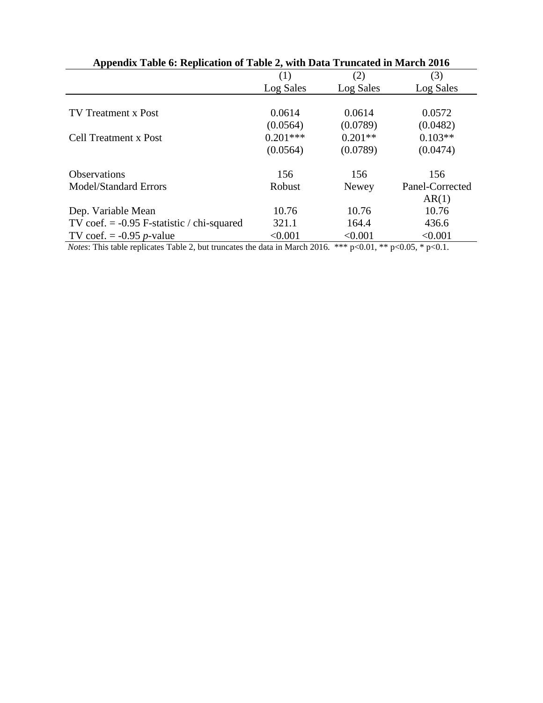| Appendix Table 6: Replication of Table 2, with Data Truncated in March 2016 |                |                            |                                        |  |
|-----------------------------------------------------------------------------|----------------|----------------------------|----------------------------------------|--|
|                                                                             | (1)            | (2)                        | (3)                                    |  |
|                                                                             | Log Sales      | Log Sales                  | Log Sales                              |  |
|                                                                             |                |                            |                                        |  |
| <b>TV</b> Treatment x Post                                                  | 0.0614         | 0.0614                     | 0.0572                                 |  |
|                                                                             | (0.0564)       | (0.0789)                   | (0.0482)                               |  |
| <b>Cell Treatment x Post</b>                                                | $0.201***$     | $0.201**$                  | $0.103**$                              |  |
|                                                                             | (0.0564)       | (0.0789)                   | (0.0474)                               |  |
| Observations                                                                | 156            | 156                        | 156                                    |  |
| <b>Model/Standard Errors</b>                                                | Robust         | Newey                      | Panel-Corrected                        |  |
|                                                                             |                |                            | AR(1)                                  |  |
| Dep. Variable Mean                                                          | 10.76          | 10.76                      | 10.76                                  |  |
| TV coef. $= -0.95$ F-statistic / chi-squared                                | 321.1          | 164.4                      | 436.6                                  |  |
| TV coef. $= -0.95 p$ -value                                                 | < 0.001        | < 0.001                    | < 0.001                                |  |
| $-11$ . $11$ . $-11$ . $-1$ . $-1$ . $-1$<br>$\mathbf{X}$                   | 1.1.111111001c | مله مله مله<br>$0.01 - 44$ | $\Lambda$ $\Lambda$ $\sim$<br>$\sim$ 1 |  |

*Notes*: This table replicates Table 2, but truncates the data in March 2016. \*\*\* p<0.01, \*\* p<0.05, \* p<0.1.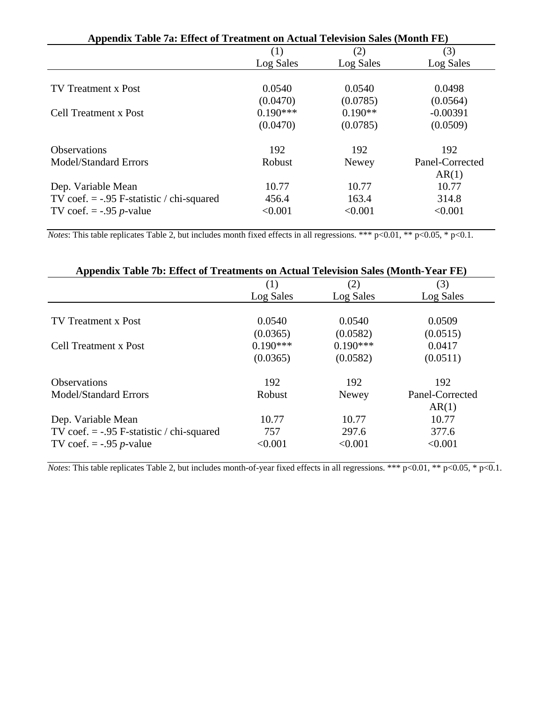| Appendix Table 7a: Effect of Treatment on Actual Television Sales (Month FE) |            |              |                 |  |
|------------------------------------------------------------------------------|------------|--------------|-----------------|--|
|                                                                              | (1)        | (2)          | (3)             |  |
|                                                                              | Log Sales  | Log Sales    | Log Sales       |  |
|                                                                              |            |              |                 |  |
| <b>TV Treatment x Post</b>                                                   | 0.0540     | 0.0540       | 0.0498          |  |
|                                                                              | (0.0470)   | (0.0785)     | (0.0564)        |  |
| Cell Treatment x Post                                                        | $0.190***$ | $0.190**$    | $-0.00391$      |  |
|                                                                              | (0.0470)   | (0.0785)     | (0.0509)        |  |
| <b>Observations</b>                                                          | 192        | 192          | 192             |  |
| <b>Model/Standard Errors</b>                                                 | Robust     | <b>Newey</b> | Panel-Corrected |  |
|                                                                              |            |              | AR(1)           |  |
| Dep. Variable Mean                                                           | 10.77      | 10.77        | 10.77           |  |
| TV coef. $=$ -.95 F-statistic / chi-squared                                  | 456.4      | 163.4        | 314.8           |  |
| TV coef. $=$ -.95 <i>p</i> -value                                            | < 0.001    | < 0.001      | < 0.001         |  |

*Notes*: This table replicates Table 2, but includes month fixed effects in all regressions. \*\*\* p<0.01, \*\* p<0.05, \* p<0.1.

| Appendix Table 7b: Effect of Treatments on Actual Television Sales (Month-Year FE) |            |              |                 |  |
|------------------------------------------------------------------------------------|------------|--------------|-----------------|--|
|                                                                                    | (1)        | (2)          | (3)             |  |
|                                                                                    | Log Sales  | Log Sales    | Log Sales       |  |
|                                                                                    |            |              |                 |  |
| <b>TV</b> Treatment x Post                                                         | 0.0540     | 0.0540       | 0.0509          |  |
|                                                                                    | (0.0365)   | (0.0582)     | (0.0515)        |  |
| Cell Treatment x Post                                                              | $0.190***$ | $0.190***$   | 0.0417          |  |
|                                                                                    | (0.0365)   | (0.0582)     | (0.0511)        |  |
| <b>Observations</b>                                                                | 192        | 192          | 192             |  |
| <b>Model/Standard Errors</b>                                                       | Robust     | <b>Newey</b> | Panel-Corrected |  |
|                                                                                    |            |              | AR(1)           |  |
| Dep. Variable Mean                                                                 | 10.77      | 10.77        | 10.77           |  |
| TV coef. $=$ -.95 F-statistic / chi-squared                                        | 757        | 297.6        | 377.6           |  |
| TV coef. $=$ -.95 <i>p</i> -value                                                  | < 0.001    | < 0.001      | < 0.001         |  |

*Notes*: This table replicates Table 2, but includes month-of-year fixed effects in all regressions. \*\*\* p<0.01, \*\* p<0.05, \* p<0.1.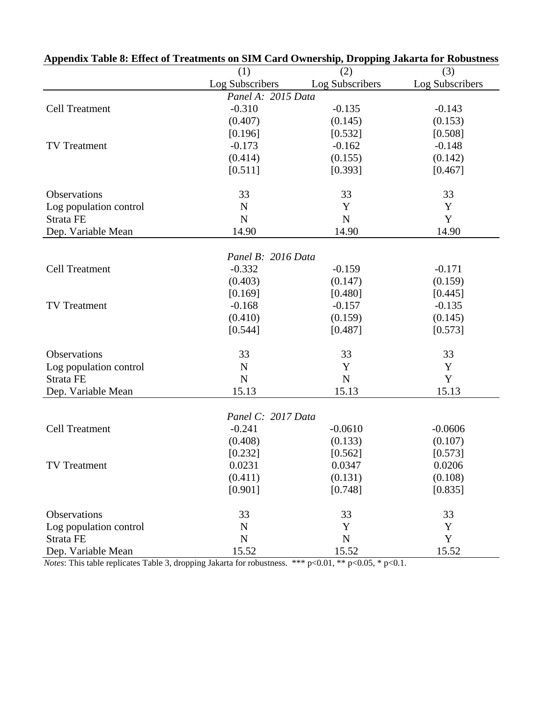| Appenuix Tabie o. Effect of Treatments on Silvi-Caru Ownership, Dropping Jakarta for Kobustness |                    |                 |                 |
|-------------------------------------------------------------------------------------------------|--------------------|-----------------|-----------------|
|                                                                                                 | (1)                | (2)             | (3)             |
|                                                                                                 | Log Subscribers    | Log Subscribers | Log Subscribers |
|                                                                                                 | Panel A: 2015 Data |                 |                 |
| <b>Cell Treatment</b>                                                                           | $-0.310$           | $-0.135$        | $-0.143$        |
|                                                                                                 | (0.407)            | (0.145)         | (0.153)         |
|                                                                                                 | [0.196]            | [0.532]         | [0.508]         |
| <b>TV</b> Treatment                                                                             | $-0.173$           | $-0.162$        | $-0.148$        |
|                                                                                                 | (0.414)            | (0.155)         | (0.142)         |
|                                                                                                 | [0.511]            | [0.393]         | [0.467]         |
| Observations                                                                                    | 33                 | 33              | 33              |
| Log population control                                                                          | $\mathbf N$        | Y               | Y               |
| Strata FE                                                                                       | N                  | $\mathbf N$     | Y               |
| Dep. Variable Mean                                                                              | 14.90              | 14.90           | 14.90           |
|                                                                                                 | Panel B: 2016 Data |                 |                 |
| <b>Cell Treatment</b>                                                                           | $-0.332$           | $-0.159$        | $-0.171$        |
|                                                                                                 | (0.403)            | (0.147)         | (0.159)         |
|                                                                                                 | [0.169]            | [0.480]         | [0.445]         |
| <b>TV</b> Treatment                                                                             | $-0.168$           | $-0.157$        | $-0.135$        |
|                                                                                                 | (0.410)            | (0.159)         | (0.145)         |
|                                                                                                 | [0.544]            | [0.487]         | [0.573]         |
|                                                                                                 |                    |                 |                 |
| Observations                                                                                    | 33                 | 33              | 33              |
| Log population control                                                                          | $\mathbf N$        | Y               | Y               |
| Strata FE                                                                                       | $\mathbf N$        | $\mathbf N$     | Y               |
| Dep. Variable Mean                                                                              | 15.13              | 15.13           | 15.13           |
|                                                                                                 |                    |                 |                 |
|                                                                                                 | Panel C: 2017 Data |                 |                 |
| <b>Cell Treatment</b>                                                                           | $-0.241$           | $-0.0610$       | $-0.0606$       |
|                                                                                                 | (0.408)            | (0.133)         | (0.107)         |
|                                                                                                 | [0.232]            | [0.562]         | [0.573]         |
| TV Treatment                                                                                    | 0.0231             | 0.0347          | 0.0206          |
|                                                                                                 | (0.411)            | (0.131)         | (0.108)         |
|                                                                                                 | [0.901]            | [0.748]         | [0.835]         |
| Observations                                                                                    | 33                 | 33              | 33              |
| Log population control                                                                          | $\mathbf N$        | Y               | Y               |
| Strata FE                                                                                       | ${\bf N}$          | ${\bf N}$       | Y               |
| Dep. Variable Mean                                                                              | 15.52              | 15.52           | 15.52           |

|  |  | Appendix Table 8: Effect of Treatments on SIM Card Ownership, Dropping Jakarta for Robustness |  |  |  |
|--|--|-----------------------------------------------------------------------------------------------|--|--|--|
|--|--|-----------------------------------------------------------------------------------------------|--|--|--|

*Notes*: This table replicates Table 3, dropping Jakarta for robustness. \*\*\* p<0.01, \*\* p<0.05, \* p<0.1.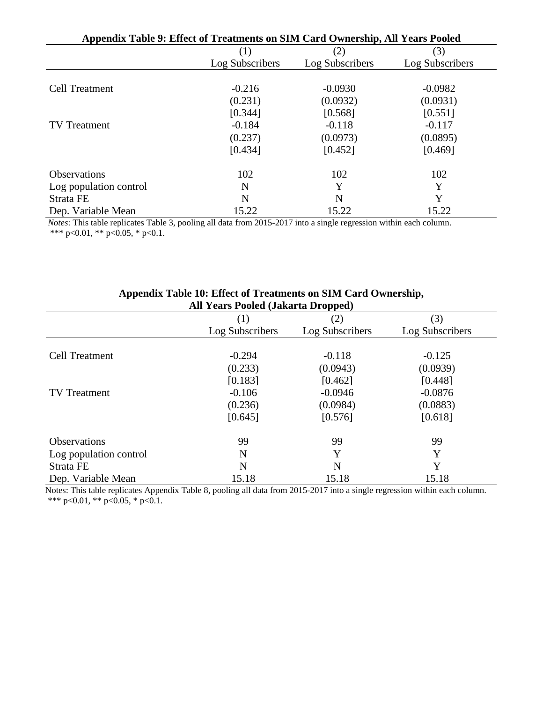| Appendix Table 9: Effect of Treatments on SIM Card Ownership, All Years Pooled |                 |                 |                 |  |  |
|--------------------------------------------------------------------------------|-----------------|-----------------|-----------------|--|--|
|                                                                                | (1)             | (2)             | (3)             |  |  |
|                                                                                | Log Subscribers | Log Subscribers | Log Subscribers |  |  |
|                                                                                |                 |                 |                 |  |  |
| <b>Cell Treatment</b>                                                          | $-0.216$        | $-0.0930$       | $-0.0982$       |  |  |
|                                                                                | (0.231)         | (0.0932)        | (0.0931)        |  |  |
|                                                                                | [0.344]         | [0.568]         | [0.551]         |  |  |
| <b>TV</b> Treatment                                                            | $-0.184$        | $-0.118$        | $-0.117$        |  |  |
|                                                                                | (0.237)         | (0.0973)        | (0.0895)        |  |  |
|                                                                                | [0.434]         | [0.452]         | [0.469]         |  |  |
| <b>Observations</b>                                                            | 102             | 102             | 102             |  |  |
| Log population control                                                         | N               | Y               | Y               |  |  |
| Strata FE                                                                      | N               | N               | Y               |  |  |
| Dep. Variable Mean                                                             | 15.22           | 15.22           | 15.22           |  |  |

*Notes*: This table replicates Table 3, pooling all data from 2015-2017 into a single regression within each column. \*\*\* p<0.01, \*\* p<0.05, \* p<0.1.

| All teal's Pooled (Jakafta Dropped) |                 |                 |                 |  |  |  |  |  |
|-------------------------------------|-----------------|-----------------|-----------------|--|--|--|--|--|
|                                     | (1)             | (2)             | (3)             |  |  |  |  |  |
|                                     | Log Subscribers | Log Subscribers | Log Subscribers |  |  |  |  |  |
|                                     |                 |                 |                 |  |  |  |  |  |
| <b>Cell Treatment</b>               | $-0.294$        | $-0.118$        | $-0.125$        |  |  |  |  |  |
|                                     | (0.233)         | (0.0943)        | (0.0939)        |  |  |  |  |  |
|                                     | [0.183]         | [0.462]         | [0.448]         |  |  |  |  |  |
| <b>TV</b> Treatment                 | $-0.106$        | $-0.0946$       | $-0.0876$       |  |  |  |  |  |
|                                     | (0.236)         | (0.0984)        | (0.0883)        |  |  |  |  |  |
|                                     | [0.645]         | [0.576]         | [0.618]         |  |  |  |  |  |
| <b>Observations</b>                 | 99              | 99              | 99              |  |  |  |  |  |
| Log population control              | N               | Y               | Y               |  |  |  |  |  |
| Strata FE                           | N               | N               | Y               |  |  |  |  |  |
| Dep. Variable Mean                  | 15.18           | 15.18           | 15.18           |  |  |  |  |  |

#### **Appendix Table 10: Effect of Treatments on SIM Card Ownership, All Years Pooled (Jakarta Dropped)**

 Notes: This table replicates Appendix Table 8, pooling all data from 2015-2017 into a single regression within each column. \*\*\* p<0.01, \*\* p<0.05, \* p<0.1.